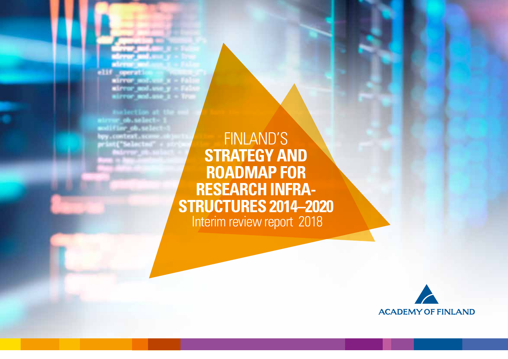$-115$ 

(lection at ob.salacts

FINLAND'S **STRATEGY AND ROADMAP FOR RESEARCH INFRA-STRUCTURES 2014–2020** Interim review report 2018

**Academy of Finland | FINLAND'S STRATEGY AND ROADMAP FOR RESEARCH INFRASTRUCTURES 2014–2020: INTERIM REVIEW REPORT 2018** 1

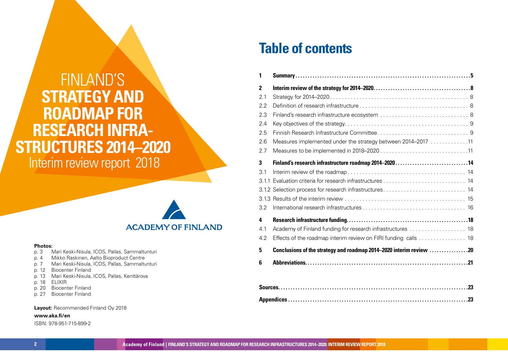# FINLAND'S **STRATEGY AND ROADMAP FOR RESEARCH INFRA-STRUCTURES 2014–2020** Interim review report 2018

# **ACADEMY OF FINLAND**

#### **Photos:**

- p. 3 Mari Keski-Nisula, ICOS, Pallas, Sammaltunturi
- p. 4 Mikko Raskinen, Aalto Bioproduct Centre
- p. 7 Mari Keski-Nisula, ICOS, Pallas, Sammaltunturi
- p. 12 Biocenter Finland
- p. 13 Mari Keski-Nisula, ICOS, Pallas, Kenttärova
- p. 18 ELIXIR
- p. 20 Biocenter Finland
- p. 27 Biocenter Finland

#### **Layout:** Recommended Finland Oy 2018

#### **<www.aka.fi/en>**

ISBN: 978-951-715-899-2

# **Table of contents**

| 1            |                                                                     |
|--------------|---------------------------------------------------------------------|
| $\mathbf{2}$ |                                                                     |
| 2.1          |                                                                     |
| 2.2          |                                                                     |
| 2.3          |                                                                     |
| 24           |                                                                     |
| 2.5          |                                                                     |
| 2.6          | Measures implemented under the strategy between 2014–2017 11        |
| 2.7          |                                                                     |
| 3            | Finland's research infrastructure roadmap 2014-202014               |
| 3.1          |                                                                     |
|              |                                                                     |
|              |                                                                     |
|              |                                                                     |
| 3.2          |                                                                     |
| 4            |                                                                     |
| 4.1          |                                                                     |
| 4.2          | Effects of the roadmap interim review on FIRI funding calls 18      |
| 5            | Conclusions of the strategy and roadmap 2014-2020 interim review 20 |
| 6            |                                                                     |
|              |                                                                     |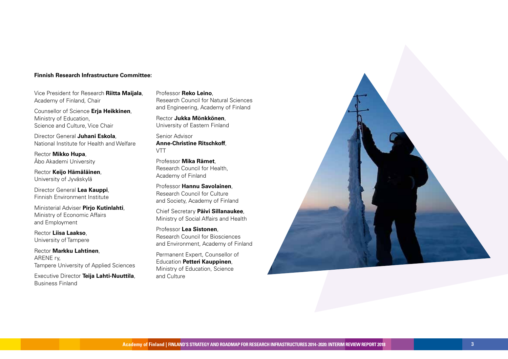#### **Finnish Research Infrastructure Committee:**

Vice President for Research **Riitta Maijala**, Academy of Finland, Chair

Counsellor of Science **Erja Heikkinen**, Ministry of Education, Science and Culture, Vice Chair

Director General **Juhani Eskola**, National Institute for Health and Welfare

Rector **Mikko Hupa**, Åbo Akademi University

Rector **Keijo Hämäläinen**, University of Jyväskylä

Director General **Lea Kauppi**, Finnish Environment Institute

Ministerial Adviser **Pirjo Kutinlahti**, Ministry of Economic Affairs and Employment

Rector **Liisa Laakso**, University of Tampere

Rector **Markku Lahtinen**, ARENE ry, Tampere University of Applied Sciences

Executive Director **Teija Lahti-Nuuttila**, Business Finland

Professor **Reko Leino**, Research Council for Natural Sciences and Engineering, Academy of Finland

Rector **Jukka Mönkkönen**, University of Eastern Finland

Senior Advisor **Anne-Christine Ritschkoff**, VTT

Professor **Mika Rämet**, Research Council for Health, Academy of Finland

Professor **Hannu Savolainen**, Research Council for Culture and Society, Academy of Finland

Chief Secretary **Päivi Sillanaukee**, Ministry of Social Affairs and Health

Professor **Lea Sistonen**, Research Council for Biosciences and Environment, Academy of Finland

Permanent Expert, Counsellor of Education **Petteri Kauppinen**, Ministry of Education, Science and Culture

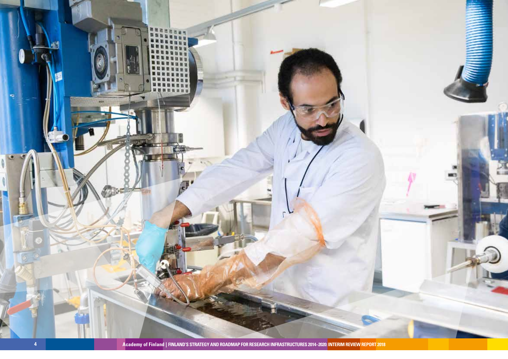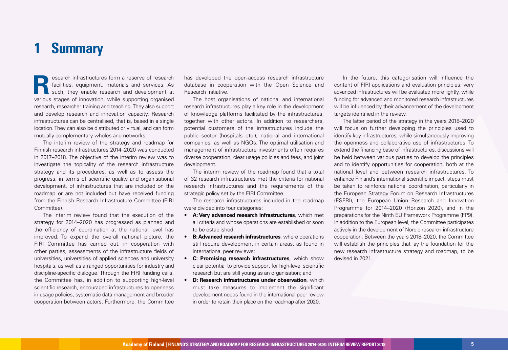# **1 Summary**

**Research infrastructures form a reserve of research facilities, equipment, materials and services. As such, they enable research and development at various stages of innovation, while supporting croanised** facilities, equipment, materials and services. As various stages of innovation, while supporting organised research, researcher training and teaching. They also support and develop research and innovation capacity. Research infrastructures can be centralised, that is, based in a single location. They can also be distributed or virtual, and can form mutually complementary wholes and networks.

The interim review of the strategy and roadmap for Finnish research infrastructures 2014–2020 was conducted in 2017–2018. The objective of the interim review was to investigate the topicality of the research infrastructure strategy and its procedures, as well as to assess the progress, in terms of scientific quality and organisational development, of infrastructures that are included on the roadmap or are not included but have received funding from the Finnish Research Infrastructure Committee (FIRI Committee).

The interim review found that the execution of the strategy for 2014–2020 has progressed as planned and the efficiency of coordination at the national level has improved. To expand the overall national picture, the FIRI Committee has carried out, in cooperation with other parties, assessments of the infrastructure fields of universities, universities of applied sciences and university hospitals, as well as arranged opportunities for industry and discipline-specific dialogue. Through the FIRI funding calls, the Committee has, in addition to supporting high-level scientific research, encouraged infrastructures to openness in usage policies, systematic data management and broader cooperation between actors. Furthermore, the Committee

has developed the open-access research infrastructure database in cooperation with the Open Science and Research Initiative.

The host organisations of national and international research infrastructures play a key role in the development of knowledge platforms facilitated by the infrastructures, together with other actors. In addition to researchers, potential customers of the infrastructures include the public sector (hospitals etc.), national and international companies, as well as NGOs. The optimal utilisation and management of infrastructure investments often requires diverse cooperation, clear usage policies and fees, and joint development.

The interim review of the roadmap found that a total of 32 research infrastructures met the criteria for national research infrastructures and the requirements of the strategic policy set by the FIRI Committee.

The research infrastructures included in the roadmap were divided into four categories:

- **A: Very advanced research infrastructures**, which met all criteria and whose operations are established or soon to be established;
- **B: Advanced research infrastructures**, where operations still require development in certain areas, as found in international peer reviews;
- **C: Promising research infrastructures**, which show clear potential to provide support for high-level scientific research but are still young as an organisation; and
- **D: Research infrastructures under observation**, which must take measures to implement the significant development needs found in the international peer review in order to retain their place on the roadmap after 2020.

In the future, this categorisation will influence the content of FIRI applications and evaluation principles; very advanced infrastructures will be evaluated more lightly, while funding for advanced and monitored research infrastructures will be influenced by their advancement of the development targets identified in the review.

The latter period of the strategy in the years 2018–2020 will focus on further developing the principles used to identify key infrastructures, while simultaneously improving the openness and collaborative use of infrastructures. To extend the financing base of infrastructures, discussions will be held between various parties to develop the principles and to identify opportunities for cooperation, both at the national level and between research infrastructures. To enhance Finland's international scientific impact, steps must be taken to reinforce national coordination, particularly in the European Strategy Forum on Research Infrastructures (ESFRI), the European Union Research and Innovation Programme for 2014–2020 (Horizon 2020), and in the preparations for the Ninth EU Framework Programme (FP9). In addition to the European level, the Committee participates actively in the development of Nordic research infrastructure cooperation. Between the years 2018–2020, the Committee will establish the principles that lay the foundation for the new research infrastructure strategy and roadmap, to be devised in 2021.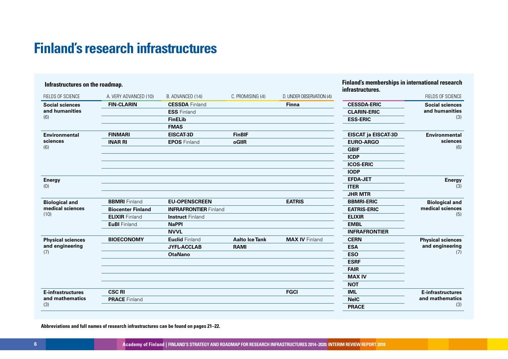# **Finland's research infrastructures**

| Infrastructures on the roadmap. |                          |                              |                       |                          | Finland's memberships in international research |                                                  |
|---------------------------------|--------------------------|------------------------------|-----------------------|--------------------------|-------------------------------------------------|--------------------------------------------------|
| FIELDS OF SCIENCE               | A. VERY ADVANCED (10)    | B. ADVANCED (14)             | C. PROMISING (4)      | D. UNDER OBSERVATION (4) | infrastructures.                                | FIELDS OF SCIENCE                                |
| <b>Social sciences</b>          | <b>FIN-CLARIN</b>        | <b>CESSDA Finland</b>        |                       | <b>Finna</b>             | <b>CESSDA-ERIC</b>                              | <b>Social sciences</b><br>and humanities         |
| and humanities                  |                          | <b>ESS</b> Finland           |                       |                          | <b>CLARIN-ERIC</b>                              |                                                  |
| (6)                             |                          | <b>FinELib</b>               |                       |                          | <b>ESS-ERIC</b>                                 | (3)                                              |
|                                 |                          | <b>FMAS</b>                  |                       |                          |                                                 |                                                  |
| <b>Environmental</b>            | <b>FINMARI</b>           | <b>EISCAT-3D</b>             | <b>FinBIF</b>         |                          | <b>EISCAT ja EISCAT-3D</b>                      | <b>Environmental</b>                             |
| sciences                        | <b>INAR RI</b>           | <b>EPOS</b> Finland          | oGIIR                 |                          | <b>EURO-ARGO</b>                                | sciences                                         |
| (6)                             |                          |                              |                       |                          | <b>GBIF</b>                                     | (6)                                              |
|                                 |                          |                              |                       |                          | <b>ICDP</b>                                     |                                                  |
|                                 |                          |                              |                       |                          | <b>ICOS-ERIC</b>                                |                                                  |
|                                 |                          |                              |                       |                          | <b>IODP</b>                                     |                                                  |
| <b>Energy</b>                   |                          |                              |                       |                          | <b>EFDA-JET</b>                                 | <b>Energy</b><br>(3)                             |
| (0)                             |                          |                              |                       |                          | <b>ITER</b>                                     |                                                  |
|                                 |                          |                              |                       |                          | <b>JHR MTR</b>                                  |                                                  |
| <b>Biological and</b>           | <b>BBMRI</b> Finland     | <b>EU-OPENSCREEN</b>         |                       | <b>EATRIS</b>            | <b>BBMRI-ERIC</b>                               | <b>Biological and</b><br>medical sciences<br>(5) |
| medical sciences                | <b>Biocenter Finland</b> | <b>INFRAFRONTIER Finland</b> |                       |                          | <b>EATRIS-ERIC</b>                              |                                                  |
| (10)                            | <b>ELIXIR</b> Finland    | <b>Instruct Finland</b>      |                       |                          | <b>ELIXIR</b>                                   |                                                  |
|                                 | <b>EuBI</b> Finland      | <b>NaPPI</b>                 |                       |                          | <b>EMBL</b>                                     |                                                  |
|                                 |                          | <b>NVVL</b>                  |                       |                          | <b>INFRAFRONTIER</b>                            |                                                  |
| <b>Physical sciences</b>        | <b>BIOECONOMY</b>        | <b>Euclid</b> Finland        | <b>Aalto Ice Tank</b> | <b>MAX IV Finland</b>    | <b>CERN</b>                                     | <b>Physical sciences</b>                         |
| and engineering                 |                          | <b>JYFL-ACCLAB</b>           | <b>RAMI</b>           |                          | <b>ESA</b>                                      | and engineering                                  |
| (7)                             |                          | <b>OtaNano</b>               |                       |                          | <b>ESO</b>                                      | (7)                                              |
|                                 |                          |                              |                       |                          | <b>ESRF</b>                                     |                                                  |
|                                 |                          |                              |                       |                          | <b>FAIR</b>                                     |                                                  |
|                                 |                          |                              |                       |                          | <b>MAX IV</b>                                   |                                                  |
|                                 |                          |                              |                       |                          | <b>NOT</b>                                      |                                                  |
| <b>E-infrastructures</b>        | <b>CSC RI</b>            |                              |                       | <b>FGCI</b>              | <b>IML</b>                                      | <b>E-infrastructures</b>                         |
| and mathematics                 | <b>PRACE</b> Finland     |                              |                       |                          | <b>NeIC</b>                                     | and mathematics                                  |
| (3)                             |                          |                              |                       |                          | <b>PRACE</b>                                    | (3)                                              |

**Abbreviations and full names of research infrastructures can be found on pages 21–22.**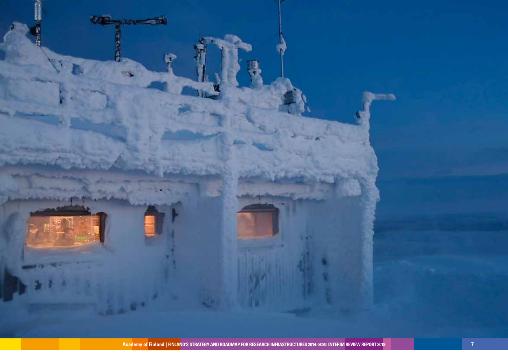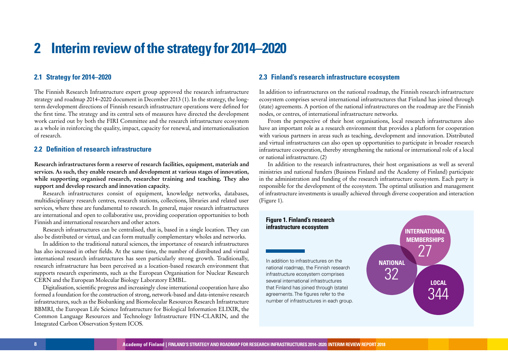# **2 Interim review of the strategy for 2014–2020**

### **2.1 Strategy for 2014–2020**

The Finnish Research Infrastructure expert group approved the research infrastructure strategy and roadmap 2014–2020 document in December 2013 (1). In the strategy, the longterm development directions of Finnish research infrastructure operations were defined for the first time. The strategy and its central sets of measures have directed the development work carried out by both the FIRI Committee and the research infrastructure ecosystem as a whole in reinforcing the quality, impact, capacity for renewal, and internationalisation of research.

## **2.2 Definition of research infrastructure**

**Research infrastructures form a reserve of research facilities, equipment, materials and services. As such, they enable research and development at various stages of innovation, while supporting organised research, researcher training and teaching. They also support and develop research and innovation capacity.**

Research infrastructures consist of equipment, knowledge networks, databases, multidisciplinary research centres, research stations, collections, libraries and related user services, where these are fundamental to research. In general, major research infrastructures are international and open to collaborative use, providing cooperation opportunities to both Finnish and international researchers and other actors.

Research infrastructures can be centralised, that is, based in a single location. They can also be distributed or virtual, and can form mutually complementary wholes and networks.

In addition to the traditional natural sciences, the importance of research infrastructures has also increased in other fields. At the same time, the number of distributed and virtual international research infrastructures has seen particularly strong growth. Traditionally, research infrastructure has been perceived as a location-based research environment that supports research experiments, such as the European Organisation for Nuclear Research CERN and the European Molecular Biology Laboratory EMBL.

Digitalisation, scientific progress and increasingly close international cooperation have also formed a foundation for the construction of strong, network-based and data-intensive research infrastructures, such as the Biobanking and Biomolecular Resources Research Infrastructure BBMRI, the European Life Science Infrastructure for Biological Information ELIXIR, the Common Language Resources and Technology Infrastructure FIN-CLARIN, and the Integrated Carbon Observation System ICOS.

# **2.3 Finland's research infrastructure ecosystem**

In addition to infrastructures on the national roadmap, the Finnish research infrastructure ecosystem comprises several international infrastructures that Finland has joined through (state) agreements. A portion of the national infrastructures on the roadmap are the Finnish nodes, or centres, of international infrastructure networks.

From the perspective of their host organisations, local research infrastructures also have an important role as a research environment that provides a platform for cooperation with various partners in areas such as teaching, development and innovation. Distributed and virtual infrastructures can also open up opportunities to participate in broader research infrastructure cooperation, thereby strengthening the national or international role of a local or national infrastructure. (2)

In addition to the research infrastructures, their host organisations as well as several ministries and national funders (Business Finland and the Academy of Finland) participate in the administration and funding of the research infrastructure ecosystem. Each party is responsible for the development of the ecosystem. The optimal utilisation and management of infrastructure investments is usually achieved through diverse cooperation and interaction (Figure 1).

> **NATIONAL** 32

**INTERNATIONAL MEMBERSHIPS**

27

**LOCAL**

344

#### **Figure 1. Finland's research infrastructure ecosystem**

In addition to infrastructures on the national roadmap, the Finnish research infrastructure ecosystem comprises several international infrastructures that Finland has joined through (state) agreements. The figures refer to the number of infrastructures in each group.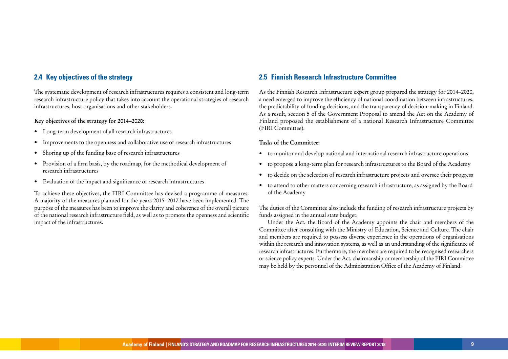### **2.4 Key objectives of the strategy**

The systematic development of research infrastructures requires a consistent and long-term research infrastructure policy that takes into account the operational strategies of research infrastructures, host organisations and other stakeholders.

#### **Key objectives of the strategy for 2014–2020:**

- Long-term development of all research infrastructures
- Improvements to the openness and collaborative use of research infrastructures
- Shoring up of the funding base of research infrastructures
- Provision of a firm basis, by the roadmap, for the methodical development of research infrastructures
- Evaluation of the impact and significance of research infrastructures

To achieve these objectives, the FIRI Committee has devised a programme of measures. A majority of the measures planned for the years 2015–2017 have been implemented. The purpose of the measures has been to improve the clarity and coherence of the overall picture of the national research infrastructure field, as well as to promote the openness and scientific impact of the infrastructures.

#### **2.5 Finnish Research Infrastructure Committee**

As the Finnish Research Infrastructure expert group prepared the strategy for 2014–2020, a need emerged to improve the efficiency of national coordination between infrastructures, the predictability of funding decisions, and the transparency of decision-making in Finland. As a result, section 5 of the Government Proposal to amend the Act on the Academy of Finland proposed the establishment of a national Research Infrastructure Committee (FIRI Committee).

#### **Tasks of the Committee:**

- to monitor and develop national and international research infrastructure operations
- to propose a long-term plan for research infrastructures to the Board of the Academy
- to decide on the selection of research infrastructure projects and oversee their progress
- to attend to other matters concerning research infrastructure, as assigned by the Board of the Academy

The duties of the Committee also include the funding of research infrastructure projects by funds assigned in the annual state budget.

Under the Act, the Board of the Academy appoints the chair and members of the Committee after consulting with the Ministry of Education, Science and Culture. The chair and members are required to possess diverse experience in the operations of organisations within the research and innovation systems, as well as an understanding of the significance of research infrastructures. Furthermore, the members are required to be recognised researchers or science policy experts. Under the Act, chairmanship or membership of the FIRI Committee may be held by the personnel of the Administration Office of the Academy of Finland.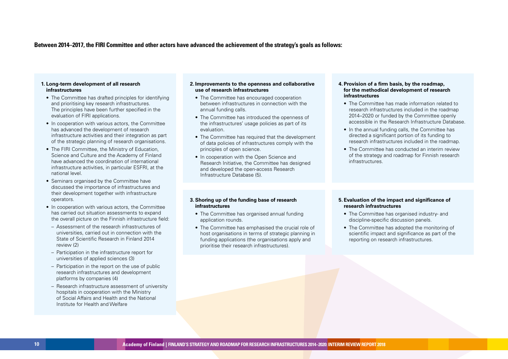#### **Between 2014–2017, the FIRI Committee and other actors have advanced the achievement of the strategy's goals as follows:**

#### **1. Long-term development of all research infrastructures**

- The Committee has drafted principles for identifying and prioritising key research infrastructures. The principles have been further specified in the evaluation of FIRI applications.
- In cooperation with various actors, the Committee has advanced the development of research infrastructure activities and their integration as part of the strategic planning of research organisations.
- The FIRI Committee, the Ministry of Education Science and Culture and the Academy of Finland have advanced the coordination of international infrastructure activities, in particular ESFRI, at the national level.
- Seminars organised by the Committee have discussed the importance of infrastructures and their development together with infrastructure operators.
- In cooperation with various actors, the Committee has carried out situation assessments to expand the overall picture on the Finnish infrastructure field:
- Assessment of the research infrastructures of universities, carried out in connection with the State of Scientific Research in Finland 2014 review (2)
- Participation in the infrastructure report for universities of applied sciences (3)
- Participation in the report on the use of public research infrastructures and development platforms by companies (4)
- Research infrastructure assessment of university hospitals in cooperation with the Ministry of Social Affairs and Health and the National Institute for Health and Welfare

#### **2. Improvements to the openness and collaborative use of research infrastructures**

- The Committee has encouraged cooperation between infrastructures in connection with the annual funding calls.
- The Committee has introduced the openness of the infrastructures' usage policies as part of its evaluation.
- The Committee has required that the development of data policies of infrastructures comply with the principles of open science.
- In cooperation with the Open Science and Research Initiative, the Committee has designed and developed the open-access Research Infrastructure Database (5).

#### **3. Shoring up of the funding base of research infrastructures**

- The Committee has organised annual funding application rounds.
- The Committee has emphasised the crucial role of host organisations in terms of strategic planning in funding applications (the organisations apply and prioritise their research infrastructures).

#### **4. Provision of a firm basis, by the roadmap, for the methodical development of research infrastructures**

- The Committee has made information related to research infrastructures included in the roadmap 2014–2020 or funded by the Committee openly accessible in the Research Infrastructure Database.
- In the annual funding calls, the Committee has directed a significant portion of its funding to research infrastructures included in the roadmap.
- The Committee has conducted an interim review of the strategy and roadmap for Finnish research infrastructures.

#### **5. Evaluation of the impact and significance of research infrastructures**

- The Committee has organised industry- and discipline-specific discussion panels.
- The Committee has adopted the monitoring of scientific impact and significance as part of the reporting on research infrastructures.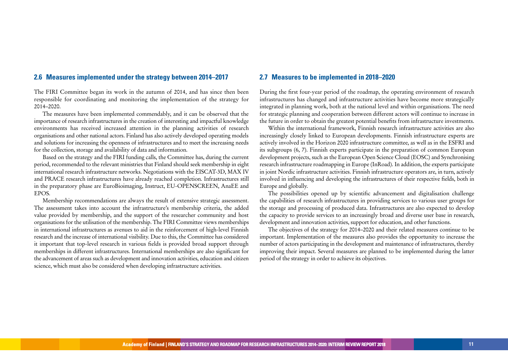### **2.6 Measures implemented under the strategy between 2014–2017**

The FIRI Committee began its work in the autumn of 2014, and has since then been responsible for coordinating and monitoring the implementation of the strategy for 2014–2020.

The measures have been implemented commendably, and it can be observed that the importance of research infrastructures in the creation of interesting and impactful knowledge environments has received increased attention in the planning activities of research organisations and other national actors. Finland has also actively developed operating models and solutions for increasing the openness of infrastructures and to meet the increasing needs for the collection, storage and availability of data and information.

Based on the strategy and the FIRI funding calls, the Committee has, during the current period, recommended to the relevant ministries that Finland should seek membership in eight international research infrastructure networks. Negotiations with the EISCAT-3D, MAX IV and PRACE research infrastructures have already reached completion. Infrastructures still in the preparatory phase are EuroBioimaging, Instruct, EU-OPENSCREEN, AnaEE and EPOS.

Membership recommendations are always the result of extensive strategic assessment. The assessment takes into account the infrastructure's membership criteria, the added value provided by membership, and the support of the researcher community and host organisations for the utilisation of the membership. The FIRI Committee views memberships in international infrastructures as avenues to aid in the reinforcement of high-level Finnish research and the increase of international visibility. Due to this, the Committee has considered it important that top-level research in various fields is provided broad support through memberships in different infrastructures. International memberships are also significant for the advancement of areas such as development and innovation activities, education and citizen science, which must also be considered when developing infrastructure activities.

#### **2.7 Measures to be implemented in 2018–2020**

During the first four-year period of the roadmap, the operating environment of research infrastructures has changed and infrastructure activities have become more strategically integrated in planning work, both at the national level and within organisations. The need for strategic planning and cooperation between different actors will continue to increase in the future in order to obtain the greatest potential benefits from infrastructure investments.

Within the international framework, Finnish research infrastructure activities are also increasingly closely linked to European developments. Finnish infrastructure experts are actively involved in the Horizon 2020 infrastructure committee, as well as in the ESFRI and its subgroups (6, 7). Finnish experts participate in the preparation of common European development projects, such as the European Open Science Cloud (EOSC) and Synchronising research infrastructure roadmapping in Europe (InRoad). In addition, the experts participate in joint Nordic infrastructure activities. Finnish infrastructure operators are, in turn, actively involved in influencing and developing the infrastructures of their respective fields, both in Europe and globally.

The possibilities opened up by scientific advancement and digitalisation challenge the capabilities of research infrastructures in providing services to various user groups for the storage and processing of produced data. Infrastructures are also expected to develop the capacity to provide services to an increasingly broad and diverse user base in research, development and innovation activities, support for education, and other functions.

The objectives of the strategy for 2014–2020 and their related measures continue to be important. Implementation of the measures also provides the opportunity to increase the number of actors participating in the development and maintenance of infrastructures, thereby improving their impact. Several measures are planned to be implemented during the latter period of the strategy in order to achieve its objectives.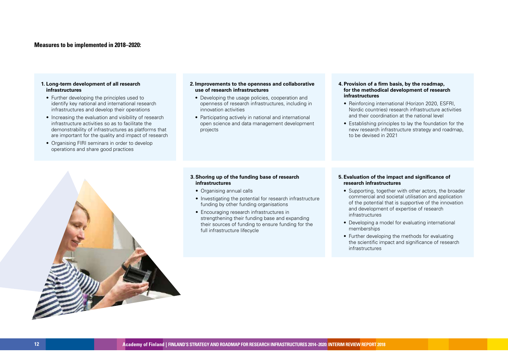#### **Measures to be implemented in 2018–2020:**

#### **1. Long-term development of all research infrastructures**

- Further developing the principles used to identify key national and international research infrastructures and develop their operations
- Increasing the evaluation and visibility of research infrastructure activities so as to facilitate the demonstrability of infrastructures as platforms that are important for the quality and impact of research
- Organising FIRI seminars in order to develop operations and share good practices

#### **2. Improvements to the openness and collaborative use of research infrastructures**

- Developing the usage policies, cooperation and openness of research infrastructures, including in innovation activities
- Participating actively in national and international open science and data management development projects

#### **4. Provision of a firm basis, by the roadmap, for the methodical development of research infrastructures**

- Reinforcing international (Horizon 2020, ESFRI, Nordic countries) research infrastructure activities and their coordination at the national level
- Establishing principles to lay the foundation for the new research infrastructure strategy and roadmap, to be devised in 2021



#### **3.Shoring up of the funding base of research infrastructures**

- Organising annual calls
- Investigating the potential for research infrastructure funding by other funding organisations
- Encouraging research infrastructures in strengthening their funding base and expanding their sources of funding to ensure funding for the full infrastructure lifecycle

#### **5. Evaluation of the impact and significance of research infrastructures**

- Supporting, together with other actors, the broader commercial and societal utilisation and application of the potential that is supportive of the innovation and development of expertise of research infrastructures
- Developing a model for evaluating international memberships
- Further developing the methods for evaluating the scientific impact and significance of research infrastructures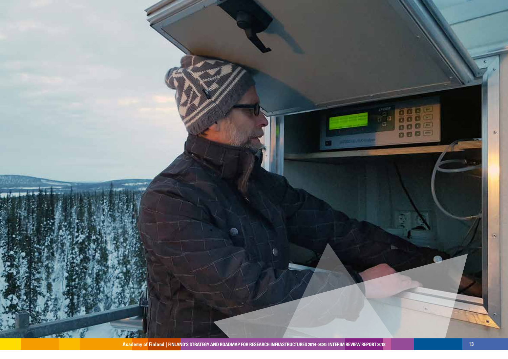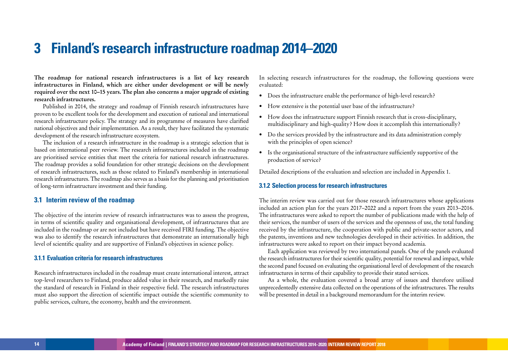# **3 Finland's research infrastructure roadmap 2014–2020**

**The roadmap for national research infrastructures is a list of key research infrastructures in Finland, which are either under development or will be newly required over the next 10–15 years. The plan also concerns a major upgrade of existing research infrastructures.** 

Published in 2014, the strategy and roadmap of Finnish research infrastructures have proven to be excellent tools for the development and execution of national and international research infrastructure policy. The strategy and its programme of measures have clarified national objectives and their implementation. As a result, they have facilitated the systematic development of the research infrastructure ecosystem.

The inclusion of a research infrastructure in the roadmap is a strategic selection that is based on international peer review. The research infrastructures included in the roadmap are prioritised service entities that meet the criteria for national research infrastructures. The roadmap provides a solid foundation for other strategic decisions on the development of research infrastructures, such as those related to Finland's membership in international research infrastructures. The roadmap also serves as a basis for the planning and prioritisation of long-term infrastructure investment and their funding.

### **3.1 Interim review of the roadmap**

The objective of the interim review of research infrastructures was to assess the progress, in terms of scientific quality and organisational development, of infrastructures that are included in the roadmap or are not included but have received FIRI funding. The objective was also to identify the research infrastructures that demonstrate an internationally high level of scientific quality and are supportive of Finland's objectives in science policy.

#### **3.1.1 Evaluation criteria for research infrastructures**

Research infrastructures included in the roadmap must create international interest, attract top-level researchers to Finland, produce added value in their research, and markedly raise the standard of research in Finland in their respective field. The research infrastructures must also support the direction of scientific impact outside the scientific community to public services, culture, the economy, health and the environment.

In selecting research infrastructures for the roadmap, the following questions were evaluated:

- Does the infrastructure enable the performance of high-level research?
- How extensive is the potential user base of the infrastructure?
- How does the infrastructure support Finnish research that is cross-disciplinary, multidisciplinary and high-quality? How does it accomplish this internationally?
- Do the services provided by the infrastructure and its data administration comply with the principles of open science?
- Is the organisational structure of the infrastructure sufficiently supportive of the production of service?

Detailed descriptions of the evaluation and selection are included in Appendix 1.

#### **3.1.2 Selection process for research infrastructures**

The interim review was carried out for those research infrastructures whose applications included an action plan for the years 2017–2022 and a report from the years 2013–2016. The infrastructures were asked to report the number of publications made with the help of their services, the number of users of the services and the openness of use, the total funding received by the infrastructure, the cooperation with public and private-sector actors, and the patents, inventions and new technologies developed in their activities. In addition, the infrastructures were asked to report on their impact beyond academia.

Each application was reviewed by two international panels. One of the panels evaluated the research infrastructures for their scientific quality, potential for renewal and impact, while the second panel focused on evaluating the organisational level of development of the research infrastructures in terms of their capability to provide their stated services.

As a whole, the evaluation covered a broad array of issues and therefore utilised unprecedentedly extensive data collected on the operations of the infrastructures. The results will be presented in detail in a background memorandum for the interim review.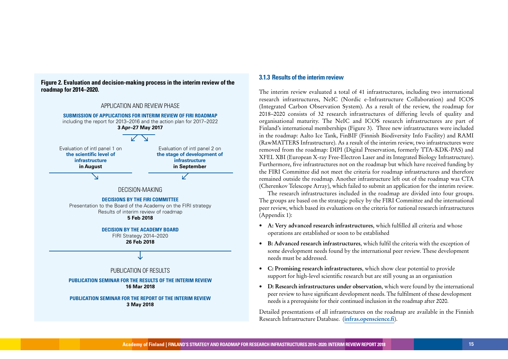**Figure 2. Evaluation and decision-making process in the interim review of the roadmap for 2014–2020.**



**PUBLICATION SEMINAR FOR THE REPORT OF THE INTERIM REVIEW 3 May 2018**

#### **3.1.3 Results of the interim review**

The interim review evaluated a total of 41 infrastructures, including two international research infrastructures, NeIC (Nordic e-Infrastructure Collaboration) and ICOS (Integrated Carbon Observation System). As a result of the review, the roadmap for 2018–2020 consists of 32 research infrastructures of differing levels of quality and organisational maturity. The NeIC and ICOS research infrastructures are part of Finland's international memberships (Figure 3). Three new infrastructures were included in the roadmap: Aalto Ice Tank, FinBIF (Finnish Biodiversity Info Facility) and RAMI (RawMATTERS Infrastructure). As a result of the interim review, two infrastructures were removed from the roadmap: DIPI (Digital Preservation, formerly TTA-KDK-PAS) and XFEL XBI (European X-ray Free-Electron Laser and its Integrated Biology Infrastructure). Furthermore, five infrastructures not on the roadmap but which have received funding by the FIRI Committee did not meet the criteria for roadmap infrastructures and therefore remained outside the roadmap. Another infrastructure left out of the roadmap was CTA (Cherenkov Telescope Array), which failed to submit an application for the interim review.

The research infrastructures included in the roadmap are divided into four groups. The groups are based on the strategic policy by the FIRI Committee and the international peer review, which based its evaluations on the criteria for national research infrastructures (Appendix 1):

- **A: Very advanced research infrastructures**, which fulfilled all criteria and whose operations are established or soon to be established
- **• B: Advanced research infrastructures**, which fulfil the criteria with the exception of some development needs found by the international peer review. These development needs must be addressed.
- **• C: Promising research infrastructures**, which show clear potential to provide support for high-level scientific research but are still young as an organisation
- **• D: Research infrastructures under observation**, which were found by the international peer review to have significant development needs. The fulfilment of these development needs is a prerequisite for their continued inclusion in the roadmap after 2020.

Detailed presentations of all infrastructures on the roadmap are available in the Finnish Research Infrastructure Database. (**[infras.openscience.fi](http://infras.openscience.fi/)**).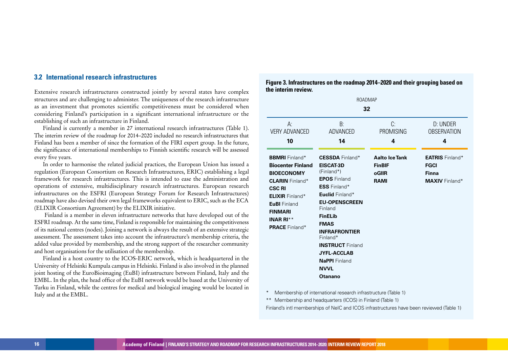#### **3.2 International research infrastructures**

Extensive research infrastructures constructed jointly by several states have complex structures and are challenging to administer. The uniqueness of the research infrastructure as an investment that promotes scientific competitiveness must be considered when considering Finland's participation in a significant international infrastructure or the establishing of such an infrastructure in Finland.

Finland is currently a member in 27 international research infrastructures (Table 1). The interim review of the roadmap for 2014–2020 included no research infrastructures that Finland has been a member of since the formation of the FIRI expert group. In the future, the significance of international memberships to Finnish scientific research will be assessed every five years.

In order to harmonise the related judicial practices, the European Union has issued a regulation (European Consortium on Research Infrastructures, ERIC) establishing a legal framework for research infrastructures. This is intended to ease the administration and operations of extensive, multidisciplinary research infrastructures. European research infrastructures on the ESFRI (European Strategy Forum for Research Infrastructures) roadmap have also devised their own legal frameworks equivalent to ERIC, such as the ECA (ELIXIR Consortium Agreement) by the ELIXIR initiative.

 Finland is a member in eleven infrastructure networks that have developed out of the ESFRI roadmap. At the same time, Finland is responsible for maintaining the competitiveness of its national centres (nodes). Joining a network is always the result of an extensive strategic assessment. The assessment takes into account the infrastructure's membership criteria, the added value provided by membership, and the strong support of the researcher community and host organisations for the utilisation of the membership.

Finland is a host country to the ICOS-ERIC network, which is headquartered in the University of Helsinki Kumpula campus in Helsinki. Finland is also involved in the planned joint hosting of the EuroBioimaging (EuBI) infrastructure between Finland, Italy and the EMBL. In the plan, the head office of the EuBI network would be based at the University of Turku in Finland, while the centres for medical and biological imaging would be located in Italy and at the EMBL.

**Figure 3. Infrastructures on the roadmap 2014–2020 and their grouping based on the interim review.**

| <b>ROADMAP</b><br>32                                                                                                                                                                                                               |                                                                                                                                                                                                                                                                                                                                                |                                                                |                                                                                |  |  |  |
|------------------------------------------------------------------------------------------------------------------------------------------------------------------------------------------------------------------------------------|------------------------------------------------------------------------------------------------------------------------------------------------------------------------------------------------------------------------------------------------------------------------------------------------------------------------------------------------|----------------------------------------------------------------|--------------------------------------------------------------------------------|--|--|--|
| $A^{\cdot}$<br><b>VERY ADVANCED</b><br>10                                                                                                                                                                                          | B:<br>ADVANCED<br>14                                                                                                                                                                                                                                                                                                                           | C:<br><b>PROMISING</b><br>4                                    | D: UNDER<br><b>OBSERVATION</b><br>4                                            |  |  |  |
| <b>BBMRI</b> Finland*<br><b>Biocenter Finland</b><br><b>BIOECONOMY</b><br><b>CLARIN</b> Finland*<br><b>CSC RI</b><br><b>ELIXIR</b> Finland*<br><b>EuBI</b> Finland<br><b>FINMARI</b><br><b>INAR RI</b> **<br><b>PRACE</b> Finland* | <b>CESSDA</b> Finland*<br><b>EISCAT-3D</b><br>$(Finland^*)$<br><b>EPOS Finland</b><br><b>ESS</b> Finland*<br><b>Euclid</b> Finland*<br><b>EU-OPENSCREEN</b><br>Finland<br><b>FinELib</b><br><b>FMAS</b><br><b>INFRAFRONTIER</b><br>Finland*<br><b>INSTRUCT Finland</b><br><b>JYFL-ACCLAB</b><br><b>NaPPI</b> Finland<br><b>NVVL</b><br>Otanano | <b>Aalto Ice Tank</b><br><b>FinBIF</b><br>oGIIR<br><b>RAMI</b> | <b>EATRIS</b> Finland*<br><b>FGCI</b><br><b>Finna</b><br><b>MAXIV</b> Finland* |  |  |  |

\* Membership of international research infrastructure (Table 1)

\*\* Membership and headquarters (ICOS) in Finland (Table 1)

Finland's intl memberships of NeIC and ICOS infrastructures have been reviewed (Table 1)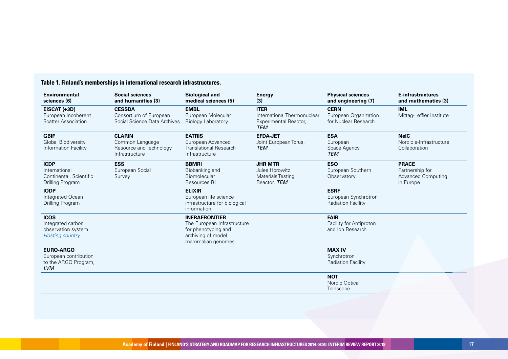# **Table 1. Finland's memberships in international research infrastructures.**

| <b>Environmental</b><br>sciences (6)                                             | <b>Social sciences</b><br>and humanities (3)                                  | <b>Biological and</b><br>medical sciences (5)                                                                         | <b>Energy</b><br>(3)                                                              | <b>Physical sciences</b><br>and engineering (7)                  | <b>E-infrastructures</b><br>and mathematics (3)                           |
|----------------------------------------------------------------------------------|-------------------------------------------------------------------------------|-----------------------------------------------------------------------------------------------------------------------|-----------------------------------------------------------------------------------|------------------------------------------------------------------|---------------------------------------------------------------------------|
| EISCAT (+3D)<br>European Incoherent<br><b>Scatter Association</b>                | <b>CESSDA</b><br>Consortium of European<br>Social Science Data Archives       | <b>EMBL</b><br>European Molecular<br><b>Biology Laboratory</b>                                                        | <b>ITER</b><br>International Thermonuclear<br>Experimental Reactor,<br><b>TEM</b> | <b>CERN</b><br>European Organization<br>for Nuclear Research     | <b>IML</b><br>Mittag-Leffler Institute                                    |
| <b>GBIF</b><br><b>Global Biodiversity</b><br>Information Facility                | <b>CLARIN</b><br>Common Language<br>Resource and Technology<br>Infrastructure | <b>EATRIS</b><br>European Advanced<br><b>Translational Research</b><br>Infrastructure                                 | <b>EFDA-JET</b><br>Joint European Torus,<br>TEM                                   | <b>ESA</b><br>European<br>Space Agency,<br>TEM                   | <b>NeIC</b><br>Nordic e-Infrastructure<br>Collaboration                   |
| <b>ICDP</b><br>International<br>Continental, Scientific<br>Drilling Program      | <b>ESS</b><br>European Social<br>Survey                                       | <b>BBMRI</b><br>Biobanking and<br>Biomolecular<br>Resources RI                                                        | <b>JHR MTR</b><br>Jules Horowitz<br>Materials Testing<br>Reactor, TEM             | <b>ESO</b><br>European Southern<br>Observatory                   | <b>PRACE</b><br>Partnership for<br><b>Advanced Computing</b><br>in Europe |
| <b>IODP</b><br>Integrated Ocean<br>Drilling Program                              |                                                                               | <b>ELIXIR</b><br>European life science<br>infrastructure for biological<br>information                                |                                                                                   | <b>ESRF</b><br>European Synchrotron<br><b>Radiation Facility</b> |                                                                           |
| <b>ICOS</b><br>Integrated carbon<br>observation system<br><b>Hosting country</b> |                                                                               | <b>INFRAFRONTIER</b><br>The European Infrastructure<br>for phenotyping and<br>archiving of model<br>mammalian genomes |                                                                                   | <b>FAIR</b><br>Facility for Antiproton<br>and Ion Research       |                                                                           |
| <b>EURO-ARGO</b><br>European contribution<br>to the ARGO Program,<br><b>LVM</b>  |                                                                               |                                                                                                                       |                                                                                   | <b>MAX IV</b><br>Synchrotron<br><b>Radiation Facility</b>        |                                                                           |
|                                                                                  |                                                                               |                                                                                                                       |                                                                                   | <b>NOT</b><br>Nordic Optical<br>Telescope                        |                                                                           |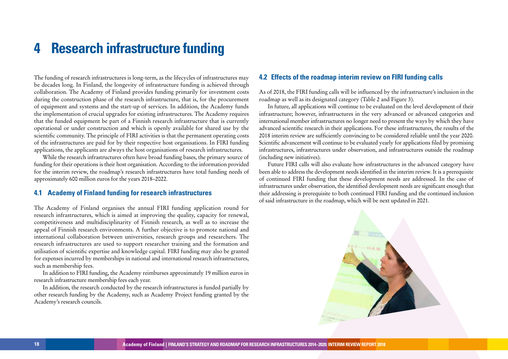# **4 Research infrastructure funding**

The funding of research infrastructures is long-term, as the lifecycles of infrastructures may be decades long. In Finland, the longevity of infrastructure funding is achieved through collaboration. The Academy of Finland provides funding primarily for investment costs during the construction phase of the research infrastructure, that is, for the procurement of equipment and systems and the start-up of services. In addition, the Academy funds the implementation of crucial upgrades for existing infrastructures. The Academy requires that the funded equipment be part of a Finnish research infrastructure that is currently operational or under construction and which is openly available for shared use by the scientific community. The principle of FIRI activities is that the permanent operating costs of the infrastructures are paid for by their respective host organisations. In FIRI funding applications, the applicants are always the host organisations of research infrastructures.

While the research infrastructures often have broad funding bases, the primary source of funding for their operations is their host organisation. According to the information provided for the interim review, the roadmap's research infrastructures have total funding needs of approximately 600 million euros for the years 2018–2022.

### **4.1 Academy of Finland funding for research infrastructures**

The Academy of Finland organises the annual FIRI funding application round for research infrastructures, which is aimed at improving the quality, capacity for renewal, competitiveness and multidisciplinarity of Finnish research, as well as to increase the appeal of Finnish research environments. A further objective is to promote national and international collaboration between universities, research groups and researchers. The research infrastructures are used to support researcher training and the formation and utilisation of scientific expertise and knowledge capital. FIRI funding may also be granted for expenses incurred by memberships in national and international research infrastructures, such as membership fees.

In addition to FIRI funding, the Academy reimburses approximately 19 million euros in research infrastructure membership fees each year.

In addition, the research conducted by the research infrastructures is funded partially by other research funding by the Academy, such as Academy Project funding granted by the Academy's research councils.

### **4.2 Effects of the roadmap interim review on FIRI funding calls**

As of 2018, the FIRI funding calls will be influenced by the infrastructure's inclusion in the roadmap as well as its designated category (Table 2 and Figure 3).

In future, all applications will continue to be evaluated on the level development of their infrastructure; however, infrastructures in the very advanced or advanced categories and international member infrastructures no longer need to present the ways by which they have advanced scientific research in their applications. For these infrastructures, the results of the 2018 interim review are sufficiently convincing to be considered reliable until the year 2020. Scientific advancement will continue to be evaluated yearly for applications filed by promising infrastructures, infrastructures under observation, and infrastructures outside the roadmap (including new initiatives).

Future FIRI calls will also evaluate how infrastructures in the advanced category have been able to address the development needs identified in the interim review. It is a prerequisite of continued FIRI funding that these development needs are addressed. In the case of infrastructures under observation, the identified development needs are significant enough that their addressing is prerequisite to both continued FIRI funding and the continued inclusion of said infrastructure in the roadmap, which will be next updated in 2021.

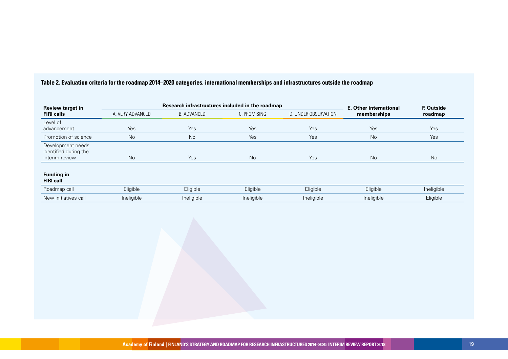| <b>Review target in</b>                    | Research infrastructures included in the roadmap |                    |              |                      | E. Other international | <b>F. Outside</b> |
|--------------------------------------------|--------------------------------------------------|--------------------|--------------|----------------------|------------------------|-------------------|
| <b>FIRI calls</b>                          | A. VERY ADVANCED                                 | <b>B. ADVANCED</b> | C. PROMISING | D. UNDER OBSERVATION | memberships            | roadmap           |
| Level of                                   |                                                  |                    |              |                      |                        |                   |
| advancement                                | Yes                                              | Yes                | Yes          | Yes                  | Yes                    | Yes               |
| Promotion of science                       | <b>No</b>                                        | <b>No</b>          | Yes          | Yes                  | <b>No</b>              | Yes               |
| Development needs<br>identified during the |                                                  |                    |              |                      |                        |                   |
| interim review                             | <b>No</b>                                        | Yes                | No           | Yes                  | <b>No</b>              | No                |
|                                            |                                                  |                    |              |                      |                        |                   |
| <b>Funding in</b><br><b>FIRI call</b>      |                                                  |                    |              |                      |                        |                   |
| Roadmap call                               | Eligible                                         | Eligible           | Eligible     | Eligible             | Eligible               | Ineligible        |
| New initiatives call                       | Ineligible                                       | Ineligible         | Ineligible   | Ineligible           | Ineligible             | Eligible          |

# **Table 2. Evaluation criteria for the roadmap 2014–2020 categories, international memberships and infrastructures outside the roadmap**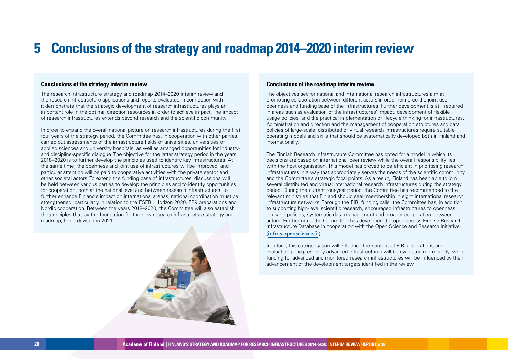# **5 Conclusions of the strategy and roadmap 2014–2020 interim review**

#### **Conclusions of the strategy interim review**

The research infrastructure strategy and roadmap 2014–2020 interim review and the research infrastructure applications and reports evaluated in connection with it demonstrate that the strategic development of research infrastructures plays an important role in the optimal direction resources in order to achieve impact. The impact of research infrastructures extends beyond research and the scientific community.

In order to expand the overall national picture on research infrastructures during the first four years of the strategy period, the Committee has, in cooperation with other parties, carried out assessments of the infrastructure fields of universities, universities of applied sciences and university hospitals, as well as arranged opportunities for industryand discipline-specific dialogue. The objective for the latter strategy period in the years 2018–2020 is to further develop the principles used to identify key infrastructures. At the same time, the openness and joint use of infrastructures will be improved, and particular attention will be paid to cooperative activities with the private sector and other societal actors. To extend the funding base of infrastructures, discussions will be held between various parties to develop the principles and to identify opportunities for cooperation, both at the national level and between research infrastructures. To further enhance Finland's impact on international arenas, national coordination must be strengthened, particularly in relation to the ESFRI, Horizon 2020, FP9 preparations and Nordic cooperation. Between the years 2018–2020, the Committee will also establish the principles that lay the foundation for the new research infrastructure strategy and roadmap, to be devised in 2021.



#### **Conclusions of the roadmap interim review**

The objectives set for national and international research infrastructures aim at promoting collaboration between different actors in order reinforce the joint use, openness and funding base of the infrastructures. Further development is still required in areas such as evaluation of the infrastructures' impact, development of flexible usage policies, and the practical implementation of lifecycle thinking for infrastructures. Administration and direction and the management of cooperation structures and data policies of large-scale, distributed or virtual research infrastructures require suitable operating models and skills that should be systematically developed both in Finland and internationally.

The Finnish Research Infrastructure Committee has opted for a model in which its decisions are based on international peer review while the overall responsibility lies with the host organisation. This model has proved to be efficient in prioritising research infrastructures in a way that appropriately serves the needs of the scientific community and the Committee's strategic focal points. As a result, Finland has been able to join several distributed and virtual international research infrastructures during the strategy period. During the current four-year period, the Committee has recommended to the relevant ministries that Finland should seek membership in eight international research infrastructure networks. Through the FIRI funding calls, the Committee has, in addition to supporting high-level scientific research, encouraged infrastructures to openness in usage policies, systematic data management and broader cooperation between actors. Furthermore, the Committee has developed the open-access Finnish Research Infrastructure Database in cooperation with the Open Science and Research Initiative. (**[infras.openscience.fi](http://infras.openscience.fi/)**.)

In future, this categorisation will influence the content of FIRI applications and evaluation principles; very advanced infrastructures will be evaluated more lightly, while funding for advanced and monitored research infrastructures will be influenced by their advancement of the development targets identified in the review.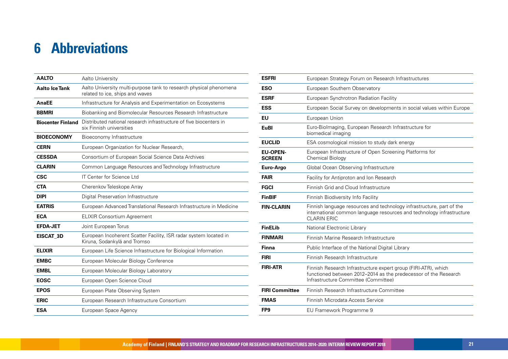# **6 Abbreviations**

| <b>AALTO</b>             | Aalto University                                                                                      |
|--------------------------|-------------------------------------------------------------------------------------------------------|
| <b>Aalto Ice Tank</b>    | Aalto University multi-purpose tank to research physical phenomena<br>related to ice, ships and waves |
| AnaEE                    | Infrastructure for Analysis and Experimentation on Ecosystems                                         |
| <b>BBMRI</b>             | Biobanking and Biomolecular Resources Research Infrastructure                                         |
| <b>Biocenter Finland</b> | Distributed national research infrastructure of five biocenters in<br>six Finnish universities        |
| <b>BIOECONOMY</b>        | Bioeconomy Infrastructure                                                                             |
| <b>CERN</b>              | European Organization for Nuclear Research,                                                           |
| <b>CESSDA</b>            | Consortium of European Social Science Data Archives                                                   |
| <b>CLARIN</b>            | Common Language Resources and Technology Infrastructure                                               |
| <b>CSC</b>               | <b>IT Center for Science Ltd</b>                                                                      |
| <b>CTA</b>               | Cherenkov Teleskope Array                                                                             |
| <b>DIPI</b>              | Digital Preservation Infrastructure                                                                   |
| <b>EATRIS</b>            | European Advanced Translational Research Infrastructure in Medicine                                   |
| <b>ECA</b>               | <b>ELIXIR Consortium Agreement</b>                                                                    |
| <b>EFDA-JET</b>          | Joint European Torus                                                                                  |
| EISCAT_3D                | European Incoherent Scatter Facility, ISR radar system located in<br>Kiruna, Sodankylä and Tromso     |
| <b>ELIXIR</b>            | European Life Science Infrastructure for Biological Information                                       |
| <b>EMBC</b>              | European Molecular Biology Conference                                                                 |
| <b>EMBL</b>              | European Molecular Biology Laboratory                                                                 |
| <b>EOSC</b>              | European Open Science Cloud                                                                           |
| <b>EPOS</b>              | European Plate Observing System                                                                       |
| <b>ERIC</b>              | European Research Infrastructure Consortium                                                           |
| <b>ESA</b>               | European Space Agency                                                                                 |

| <b>ESFRI</b>                     | European Strategy Forum on Research Infrastructures                                                                                                                       |
|----------------------------------|---------------------------------------------------------------------------------------------------------------------------------------------------------------------------|
| <b>ESO</b>                       | European Southern Observatory                                                                                                                                             |
| <b>ESRF</b>                      | European Synchrotron Radiation Facility                                                                                                                                   |
| <b>ESS</b>                       | European Social Survey on developments in social values within Europe                                                                                                     |
| EU                               | European Union                                                                                                                                                            |
| <b>EuBI</b>                      | Euro-Biolmaging, European Research Infrastructure for<br>biomedical imaging                                                                                               |
| <b>EUCLID</b>                    | ESA cosmological mission to study dark energy                                                                                                                             |
| <b>EU-OPEN-</b><br><b>SCREEN</b> | European Infrastructure of Open Screening Platforms for<br><b>Chemical Biology</b>                                                                                        |
| Euro-Argo                        | Global Ocean Observing Infrastructure                                                                                                                                     |
| <b>FAIR</b>                      | Facility for Antiproton and Ion Research                                                                                                                                  |
| <b>FGCI</b>                      | Finnish Grid and Cloud Infrastructure                                                                                                                                     |
| <b>FinBIF</b>                    | Finnish Biodiversity Info Facility                                                                                                                                        |
| <b>FIN-CLARIN</b>                | Finnish language resources and technology infrastructure, part of the<br>international common language resources and technology infrastructure<br><b>CLARIN ERIC</b>      |
| <b>FinELib</b>                   | National Electronic Library                                                                                                                                               |
| <b>FINMARI</b>                   | Finnish Marine Research Infrastructure                                                                                                                                    |
| <b>Finna</b>                     | Public Interface of the National Digital Library                                                                                                                          |
| <b>FIRI</b>                      | Finnish Research Infrastructure                                                                                                                                           |
| <b>FIRI-ATR</b>                  | Finnish Research Infrastructure expert group (FIRI-ATR), which<br>functioned between 2012-2014 as the predecessor of the Research<br>Infrastructure Committee (Committee) |
| <b>FIRI Committee</b>            | Finnish Research Infrastructure Committee                                                                                                                                 |
| <b>FMAS</b>                      | Finnish Microdata Access Service                                                                                                                                          |
| FP9                              | EU Framework Programme 9                                                                                                                                                  |
|                                  |                                                                                                                                                                           |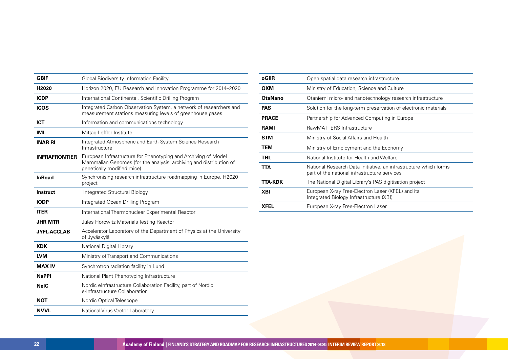| <b>GBIF</b>          | Global Biodiversity Information Facility                                                                                                                           |
|----------------------|--------------------------------------------------------------------------------------------------------------------------------------------------------------------|
| H <sub>2020</sub>    | Horizon 2020, EU Research and Innovation Programme for 2014-2020                                                                                                   |
| <b>ICDP</b>          | International Continental, Scientific Drilling Program                                                                                                             |
| <b>ICOS</b>          | Integrated Carbon Observation System, a network of researchers and<br>measurement stations measuring levels of greenhouse gases                                    |
| <b>ICT</b>           | Information and communications technology                                                                                                                          |
| <b>IML</b>           | Mittag-Leffler Institute                                                                                                                                           |
| <b>INAR RI</b>       | Integrated Atmospheric and Earth System Science Research<br>Infrastructure                                                                                         |
| <b>INFRAFRONTIER</b> | European Infrastructure for Phenotyping and Archiving of Model<br>Mammalian Genomes (for the analysis, archiving and distribution of<br>genetically modified mice) |
| <b>InRoad</b>        | Synchronising research infrastructure roadmapping in Europe, H2020<br>project                                                                                      |
| <b>Instruct</b>      | Integrated Structural Biology                                                                                                                                      |
| <b>IODP</b>          | Integrated Ocean Drilling Program                                                                                                                                  |
| <b>ITER</b>          | International Thermonuclear Experimental Reactor                                                                                                                   |
| <b>JHR MTR</b>       | Jules Horowitz Materials Testing Reactor                                                                                                                           |
| <b>JYFL-ACCLAB</b>   | Accelerator Laboratory of the Department of Physics at the University<br>of Jyväskylä                                                                              |
| <b>KDK</b>           | National Digital Library                                                                                                                                           |
| <b>LVM</b>           | Ministry of Transport and Communications                                                                                                                           |
| <b>MAX IV</b>        | Synchrotron radiation facility in Lund                                                                                                                             |
| <b>NaPPI</b>         | National Plant Phenotyping Infrastructure                                                                                                                          |
| <b>NeIC</b>          | Nordic eInfrastructure Collaboration Facility, part of Nordic<br>e-Infrastructure Collaboration                                                                    |
| NOT                  | Nordic Optical Telescope                                                                                                                                           |
| <b>NVVL</b>          | National Virus Vector Laboratory                                                                                                                                   |

| oGIIR          | Open spatial data research infrastructure                                                                        |
|----------------|------------------------------------------------------------------------------------------------------------------|
| OKM            | Ministry of Education, Science and Culture                                                                       |
| <b>OtaNano</b> | Otaniemi micro- and nanotechnology research infrastructure                                                       |
| <b>PAS</b>     | Solution for the long-term preservation of electronic materials                                                  |
| <b>PRACE</b>   | Partnership for Advanced Computing in Europe                                                                     |
| <b>RAMI</b>    | RawMATTERS Infrastructure                                                                                        |
| STM            | Ministry of Social Affairs and Health                                                                            |
| TEM            | Ministry of Employment and the Economy                                                                           |
| <b>THL</b>     | National Institute for Health and Welfare                                                                        |
| TTA            | National Research Data Initiative, an infrastructure which forms<br>part of the national infrastructure services |
| TTA-KDK        | The National Digital Library's PAS digitisation project                                                          |
| <b>XBI</b>     | European X-ray Free-Electron Laser (XFEL) and its<br>Integrated Biology Infrastructure (XBI)                     |
| <b>XFEL</b>    | European X-ray Free-Electron Laser                                                                               |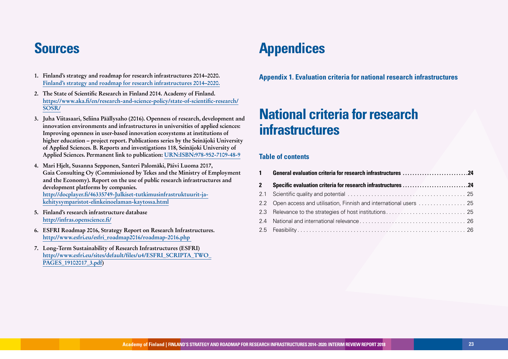# **Sources**

- **1. Finland's strategy and roadmap for research infrastructures 2014–2020. [Finland's strategy and roadmap for research infrastructures 2014–2020.](https://www.aka.fi/globalassets/awanhat/documents/firi/tutkimusinfrastruktuurien_strategia_ja_tiekartta_2014_en.pdf)**
- **2. The State of Scientific Research in Finland 2014. Academy of Finland. [https://www.aka.fi/en/research-and-science-policy/state-of-scientific-research/](https://www.aka.fi/en/research-and-science-policy/state-of-scientific-research/SOSR/) SOSR/**
- **3. Juha Viitasaari, Seliina Päällysaho (2016). Openness of research, development and innovation environments and infrastructures in universities of applied sciences: Improving openness in user-based innovation ecosystems at institutions of higher education – project report. Publications series by the Seinäjoki University of Applied Sciences. B. Reports and investigations 118, Seinäjoki University of Applied Sciences. Permanent link to publication: [URN:ISBN:978-952-7109-48-9](http://www.theseus.fi/handle/10024/115121)**
- **4. Mari Hjelt, Susanna Sepponen, Santeri Palomäki, Päivi Luoma 2017, Gaia Consulting Oy (Commissioned by Tekes and the Ministry of Employment and the Economy). Report on the use of public research infrastructures and development platforms by companies. [http://docplayer.fi/46335749-Julkiset-tutkimusinfrastruktuurit-ja](http://docplayer.fi/46335749-Julkiset-tutkimusinfrastruktuurit-jakehitysymparistot-elinkeinoelaman-kaytossa.html)kehitysymparistot-elinkeinoelaman-kaytossa.html**
- **5. Finland's research infrastructure database <http://infras.openscience.fi/>**
- **6. ESFRI Roadmap 2016, Strategy Report on Research Infrastructures. [http://www.esfri.eu/esfri\\_roadmap2016/roadmap-2016.php](http://www.esfri.eu/esfri_roadmap2016/roadmap-2016.php)**
- **7. Long-Term Sustainability of Research Infrastructures (ESFRI) [http://www.esfri.eu/sites/default/files/u4/ESFRI\\_SCRIPTA\\_TWO\\_](http://www.esfri.eu/sites/default/files/u4/ESFRI_SCRIPTA_TWO_PAGES_19102017_3.pdf) PAGES\_19102017\_3.pdf)**

# **Appendices**

**Appendix 1. Evaluation criteria for national research infrastructures**

# **National criteria for research infrastructures**

## **Table of contents**

| $\mathbf{1}$ | General evaluation criteria for research infrastructures 24  |  |
|--------------|--------------------------------------------------------------|--|
| $\mathbf{2}$ | Specific evaluation criteria for research infrastructures 24 |  |
|              |                                                              |  |
|              |                                                              |  |
|              |                                                              |  |
|              |                                                              |  |
|              |                                                              |  |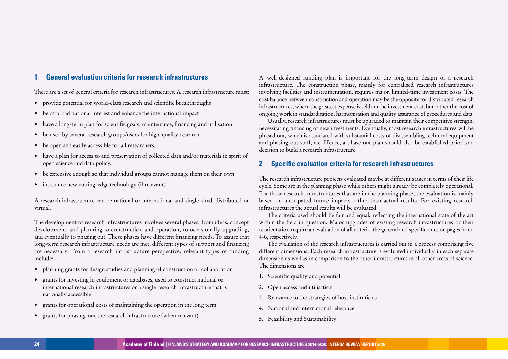### **1 General evaluation criteria for research infrastructures**

There are a set of general criteria for research infrastructures. A research infrastructure must:

- provide potential for world-class research and scientific breakthroughs
- be of broad national interest and enhance the international impact
- have a long-term plan for scientific goals, maintenance, financing and utilisation
- be used by several research groups/users for high-quality research
- be open and easily accessible for all researchers
- have a plan for access to and preservation of collected data and/or materials in spirit of open science and data policy.
- be extensive enough so that individual groups cannot manage them on their own
- introduce new cutting-edge technology (if relevant).

A research infrastructure can be national or international and single-sited, distributed or virtual.

The development of research infrastructures involves several phases, from ideas, concept development, and planning to construction and operation, to occasionally upgrading, and eventually to phasing out. These phases have different financing needs. To assure that long-term research infrastructure needs are met, different types of support and financing are necessary. From a research infrastructure perspective, relevant types of funding include:

- planning grants for design studies and planning of construction or collaboration
- grants for investing in equipment or databases, used to construct national or international research infrastructures or a single research infrastructure that is nationally accessible
- grants for operational costs of maintaining the operation in the long term
- grants for phasing-out the research infrastructure (when relevant)

A well-designed funding plan is important for the long-term design of a research infrastructure. The construction phase, mainly for centralised research infrastructures involving facilities and instrumentation, requires major, limited-time investment costs. The cost balance between construction and operation may be the opposite for distributed research infrastructures, where the greatest expense is seldom the investment cost, but rather the cost of ongoing work in standardisation, harmonisation and quality assurance of procedures and data.

Usually, research infrastructures must be upgraded to maintain their competitive strength, necessitating financing of new investments. Eventually, most research infrastructures will be phased out, which is associated with substantial costs of disassembling technical equipment and phasing out staff, etc. Hence, a phase-out plan should also be established prior to a decision to build a research infrastructure.

### **2 Specific evaluation criteria for research infrastructures**

The research infrastructure projects evaluated maybe at different stages in terms of their life cycle. Some are in the planning phase while others might already be completely operational. For those research infrastructures that are in the planning phase, the evaluation is mainly based on anticipated future impacts rather than actual results. For existing research infrastructures the actual results will be evaluated.

The criteria used should be fair and equal, reflecting the international state of the art within the field in question. Major upgrades of existing research infrastructures or their reorientation require an evaluation of all criteria, the general and specific ones on pages 3 and 4-6, respectively.

The evaluation of the research infrastructures is carried out in a process comprising five different dimensions. Each research infrastructure is evaluated individually in each separate dimension as well as in comparison to the other infrastructures in all other areas of science. The dimensions are:

- 1. Scientific quality and potential
- 2. Open access and utilisation
- 3. Relevance to the strategies of host institutions
- 4. National and international relevance
- 5. Feasibility and Sustainability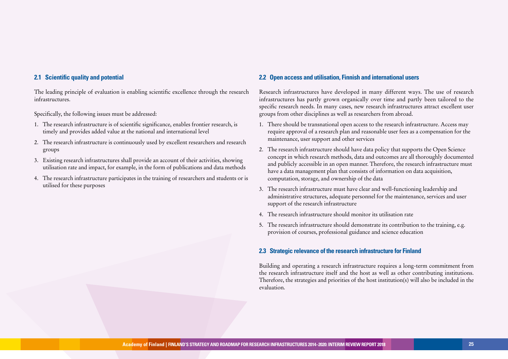### **2.1 Scientific quality and potential**

The leading principle of evaluation is enabling scientific excellence through the research infrastructures.

Specifically, the following issues must be addressed:

- 1. The research infrastructure is of scientific significance, enables frontier research, is timely and provides added value at the national and international level
- 2. The research infrastructure is continuously used by excellent researchers and research groups
- 3. Existing research infrastructures shall provide an account of their activities, showing utilisation rate and impact, for example, in the form of publications and data methods
- 4. The research infrastructure participates in the training of researchers and students or is utilised for these purposes

#### **2.2 Open access and utilisation, Finnish and international users**

Research infrastructures have developed in many different ways. The use of research infrastructures has partly grown organically over time and partly been tailored to the specific research needs. In many cases, new research infrastructures attract excellent user groups from other disciplines as well as researchers from abroad.

- 1. There should be transnational open access to the research infrastructure. Access may require approval of a research plan and reasonable user fees as a compensation for the maintenance, user support and other services
- 2. The research infrastructure should have data policy that supports the Open Science concept in which research methods, data and outcomes are all thoroughly documented and publicly accessible in an open manner. Therefore, the research infrastructure must have a data management plan that consists of information on data acquisition, computation, storage, and ownership of the data
- 3. The research infrastructure must have clear and well-functioning leadership and administrative structures, adequate personnel for the maintenance, services and user support of the research infrastructure
- 4. The research infrastructure should monitor its utilisation rate
- 5. The research infrastructure should demonstrate its contribution to the training, e.g. provision of courses, professional guidance and science education

#### **2.3 Strategic relevance of the research infrastructure for Finland**

Building and operating a research infrastructure requires a long-term commitment from the research infrastructure itself and the host as well as other contributing institutions. Therefore, the strategies and priorities of the host institution(s) will also be included in the evaluation.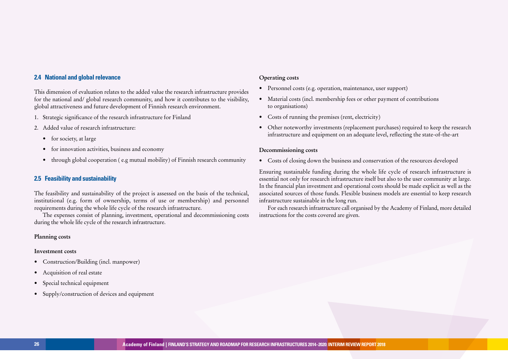#### **2.4 National and global relevance**

This dimension of evaluation relates to the added value the research infrastructure provides for the national and/ global research community, and how it contributes to the visibility, global attractiveness and future development of Finnish research environment.

- 1. Strategic significance of the research infrastructure for Finland
- 2. Added value of research infrastructure:
	- for society, at large
	- for innovation activities, business and economy
	- through global cooperation ( e.g mutual mobility) of Finnish research community

#### **2.5 Feasibility and sustainability**

The feasibility and sustainability of the project is assessed on the basis of the technical, institutional (e.g. form of ownership, terms of use or membership) and personnel requirements during the whole life cycle of the research infrastructure.

The expenses consist of planning, investment, operational and decommissioning costs during the whole life cycle of the research infrastructure.

#### **Planning costs**

#### **Investment costs**

- Construction/Building (incl. manpower)
- Acquisition of real estate
- Special technical equipment
- Supply/construction of devices and equipment

#### **Operating costs**

- Personnel costs (e.g. operation, maintenance, user support)
- Material costs (incl. membership fees or other payment of contributions to organisations)
- Costs of running the premises (rent, electricity)
- Other noteworthy investments (replacement purchases) required to keep the research infrastructure and equipment on an adequate level, reflecting the state-of-the-art

#### **Decommissioning costs**

• Costs of closing down the business and conservation of the resources developed

Ensuring sustainable funding during the whole life cycle of research infrastructure is essential not only for research infrastructure itself but also to the user community at large. In the financial plan investment and operational costs should be made explicit as well as the associated sources of those funds. Flexible business models are essential to keep research infrastructure sustainable in the long run.

For each research infrastructure call organised by the Academy of Finland, more detailed instructions for the costs covered are given.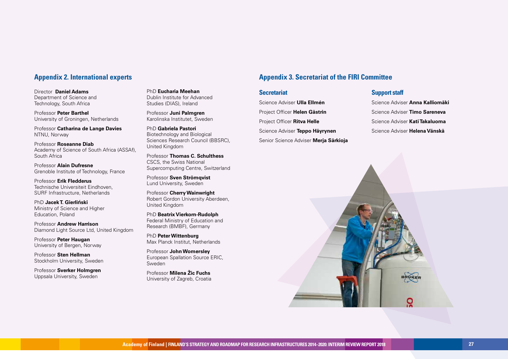## **Appendix 2. International experts**

Director **Daniel Adams**  Department of Science and Technology, South Africa

Professor **Peter Barthel**  University of Groningen, Netherlands

Professor **Catharina de Lange Davies** NTNU, Norway

Professor **Roseanne Diab** Academy of Science of South Africa (ASSAf), South Africa

Professor **Alain Dufresne**  Grenoble Institute of Technology, France

Professor **Erik Fledderus**  Technische Universiteit Eindhoven, SURF Infrastructure, Netherlands

PhD **Jacek T. Gierliński**  Ministry of Science and Higher Education, Poland

Professor **Andrew Harrison**  Diamond Light Source Ltd, United Kingdom

Professor **Peter Haugan** University of Bergen, Norway

Professor **Sten Hellman** Stockholm University, Sweden

Professor **Sverker Holmgren** Uppsala University, Sweden

#### PhD **Eucharia Meehan** Dublin Institute for Advanced

Studies (DIAS), Ireland

Professor **Juni Palmgren** Karolinska Institutet, Sweden

PhD **Gabriela Pastori** Biotechnology and Biological Sciences Research Council (BBSRC), United Kingdom

Professor **Thomas C. Schulthess** CSCS, the Swiss National Supercomputing Centre, Switzerland

Professor **Sven Strömqvist** Lund University, Sweden

Professor **Cherry Wainwright**  Robert Gordon University Aberdeen, United Kingdom

PhD **Beatrix Vierkorn-Rudolph**  Federal Ministry of Education and Research (BMBF), Germany

PhD **Peter Wittenburg**  Max Planck Institut, Netherlands

Professor **John Womersley**  European Spallation Source ERIC, Sweden

Professor **Milena Žic Fuchs**  University of Zagreb, Croatia

### **Appendix 3. Secretariat of the FIRI Committee**

#### **Secretariat**

Science Adviser **Ulla Ellmén** Project Officer **Helen Gästrin** Project Officer **Ritva Helle** Science Adviser **Teppo Häyrynen** Senior Science Adviser **Merja Särkioja**

#### **Support staff**

Science Adviser **Anna Kalliomäki** Science Adviser **Timo Sareneva** Science Adviser **Kati Takaluoma** Science Adviser **Helena Vänskä**